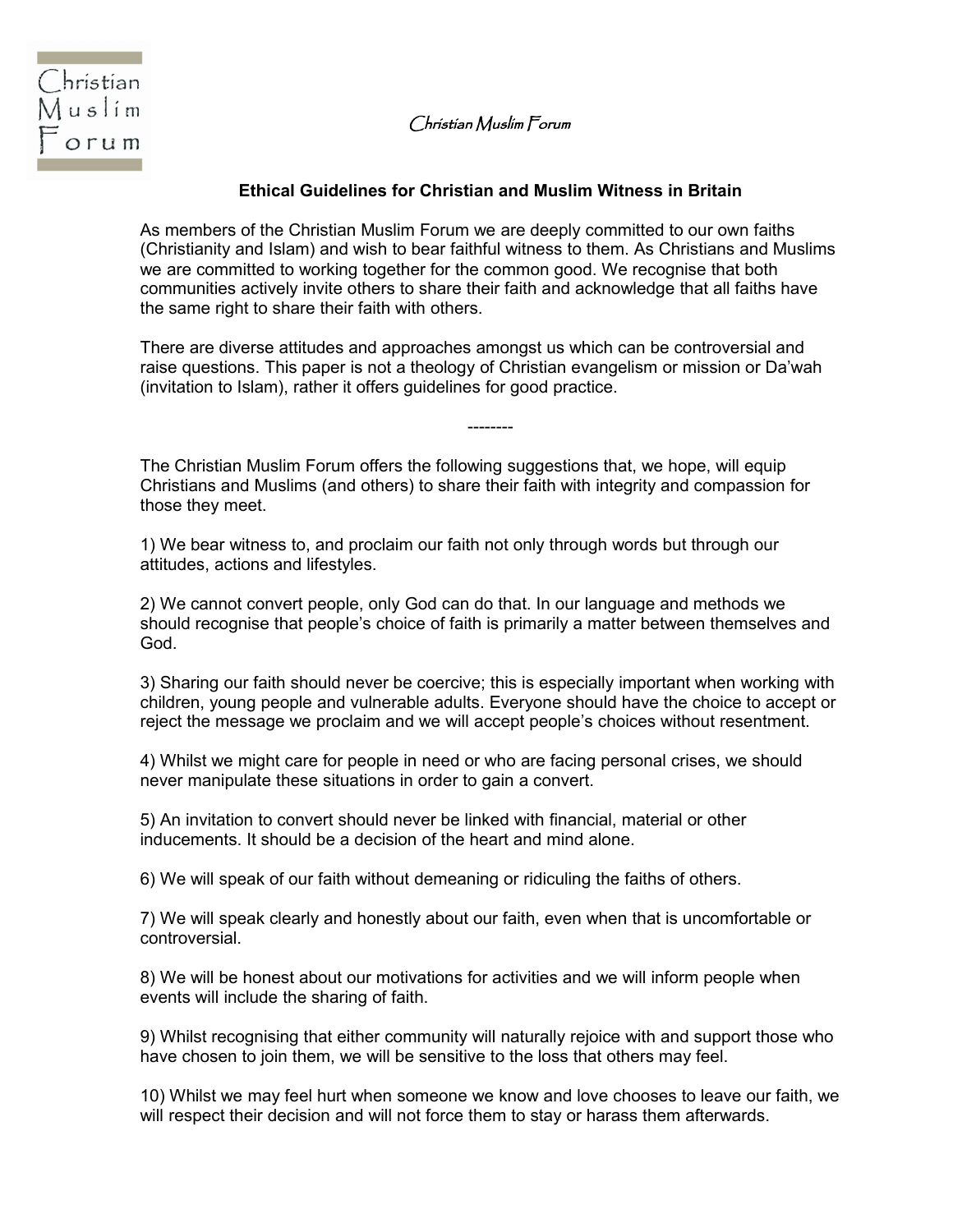Christian Muslim Forum



## **Ethical Guidelines for Christian and Muslim Witness in Britain**

As members of the Christian Muslim Forum we are deeply committed to our own faiths (Christianity and Islam) and wish to bear faithful witness to them. As Christians and Muslims we are committed to working together for the common good. We recognise that both communities actively invite others to share their faith and acknowledge that all faiths have the same right to share their faith with others.

There are diverse attitudes and approaches amongst us which can be controversial and raise questions. This paper is not a theology of Christian evangelism or mission or Da'wah (invitation to Islam), rather it offers guidelines for good practice.

--------

The Christian Muslim Forum offers the following suggestions that, we hope, will equip Christians and Muslims (and others) to share their faith with integrity and compassion for those they meet.

1) We bear witness to, and proclaim our faith not only through words but through our attitudes, actions and lifestyles.

2) We cannot convert people, only God can do that. In our language and methods we should recognise that people's choice of faith is primarily a matter between themselves and God.

3) Sharing our faith should never be coercive; this is especially important when working with children, young people and vulnerable adults. Everyone should have the choice to accept or reject the message we proclaim and we will accept people's choices without resentment.

4) Whilst we might care for people in need or who are facing personal crises, we should never manipulate these situations in order to gain a convert.

5) An invitation to convert should never be linked with financial, material or other inducements. It should be a decision of the heart and mind alone.

6) We will speak of our faith without demeaning or ridiculing the faiths of others.

7) We will speak clearly and honestly about our faith, even when that is uncomfortable or controversial.

8) We will be honest about our motivations for activities and we will inform people when events will include the sharing of faith.

9) Whilst recognising that either community will naturally rejoice with and support those who have chosen to join them, we will be sensitive to the loss that others may feel.

10) Whilst we may feel hurt when someone we know and love chooses to leave our faith, we will respect their decision and will not force them to stay or harass them afterwards.